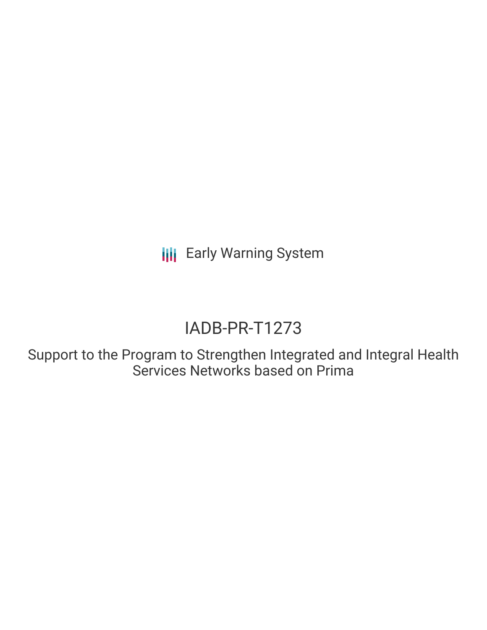**III** Early Warning System

# IADB-PR-T1273

Support to the Program to Strengthen Integrated and Integral Health Services Networks based on Prima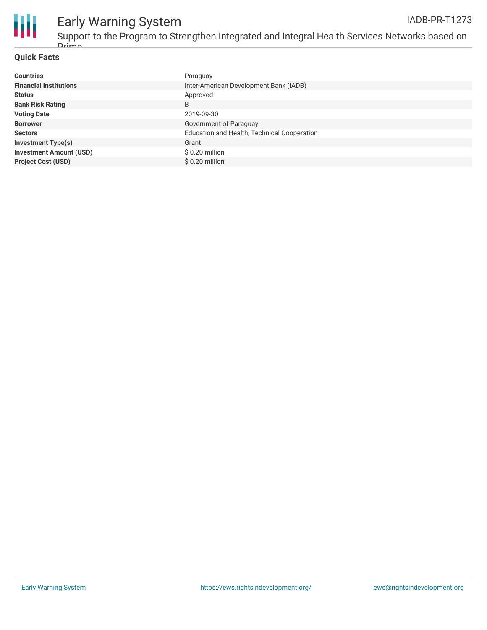

## Early Warning System

### **Quick Facts**

| <b>Countries</b>               | Paraguay                                    |
|--------------------------------|---------------------------------------------|
| <b>Financial Institutions</b>  | Inter-American Development Bank (IADB)      |
| <b>Status</b>                  | Approved                                    |
| <b>Bank Risk Rating</b>        | B                                           |
| <b>Voting Date</b>             | 2019-09-30                                  |
| <b>Borrower</b>                | Government of Paraguay                      |
| <b>Sectors</b>                 | Education and Health, Technical Cooperation |
| <b>Investment Type(s)</b>      | Grant                                       |
| <b>Investment Amount (USD)</b> | $$0.20$ million                             |
| <b>Project Cost (USD)</b>      | \$0.20 million                              |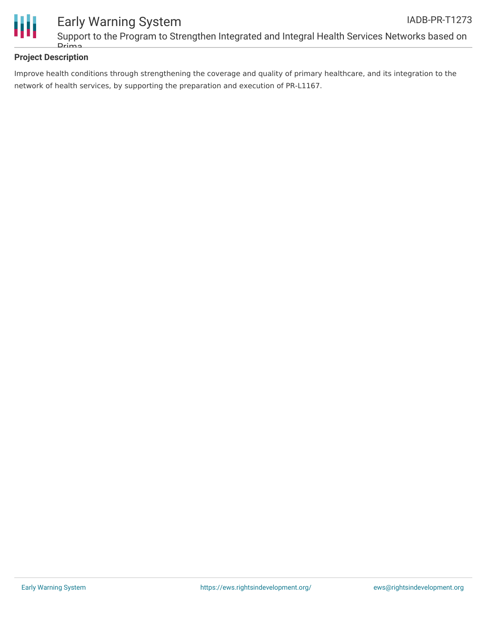

### **Project Description**

Improve health conditions through strengthening the coverage and quality of primary healthcare, and its integration to the network of health services, by supporting the preparation and execution of PR-L1167.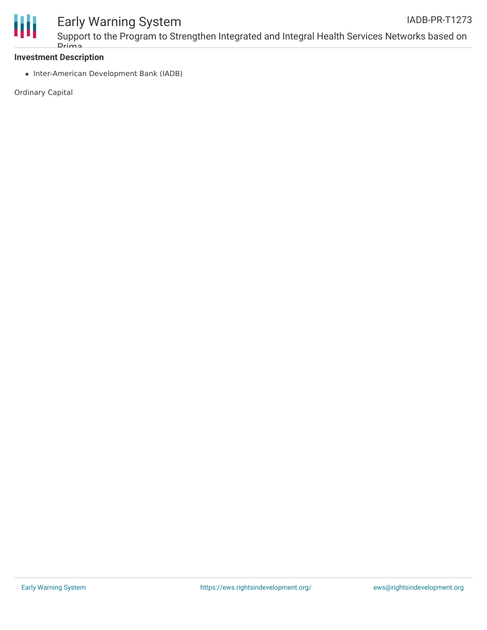

### Early Warning System

### **Investment Description**

Prima

• Inter-American Development Bank (IADB)

Ordinary Capital